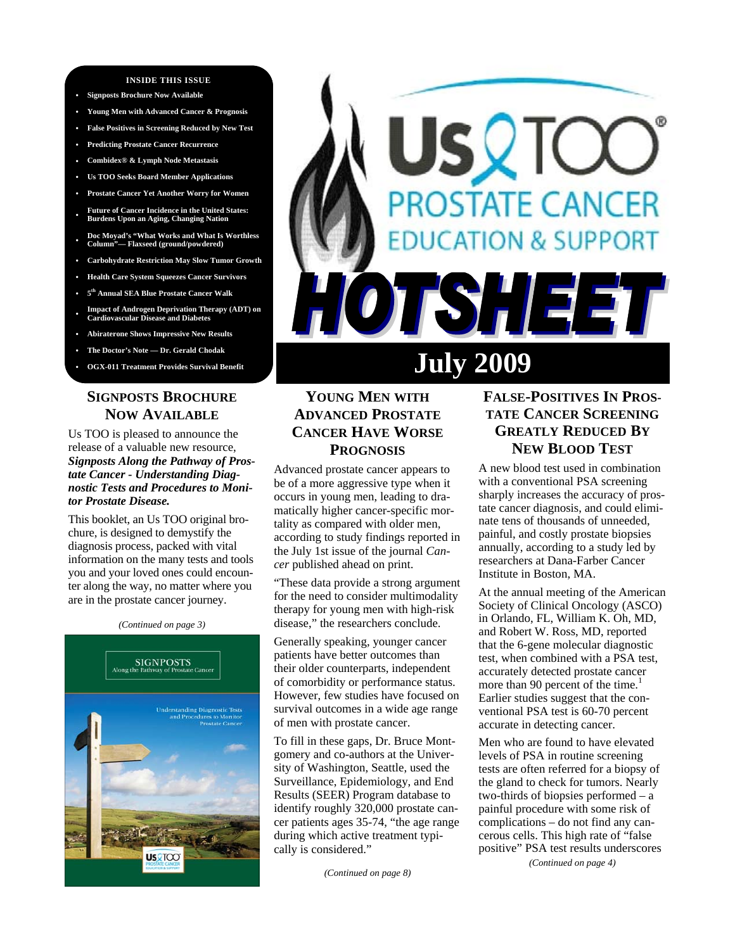#### **INSIDE THIS ISSUE**

- **Signposts Brochure Now Available**
- **Young Men with Advanced Cancer & Prognosis**
- **False Positives in Screening Reduced by New Test**
- **Predicting Prostate Cancer Recurrence**
- **Combidex® & Lymph Node Metastasis**
- **Us TOO Seeks Board Member Applications**
- **Prostate Cancer Yet Another Worry for Women**
- **Future of Cancer Incidence in the United States: Burdens Upon an Aging, Changing Nation**
- **Doc Moyad's "What Works and What Is Worthless Column"— Flaxseed (ground/powdered)**
- **Carbohydrate Restriction May Slow Tumor Growth**
- **Health Care System Squeezes Cancer Survivors**
- **5th Annual SEA Blue Prostate Cancer Walk**
- **Impact of Androgen Deprivation Therapy (ADT) on Cardiovascular Disease and Diabetes**
- **Abiraterone Shows Impressive New Results**
- **The Doctor's Note Dr. Gerald Chodak**
- 

## **SIGNPOSTS BROCHURE NOW AVAILABLE**

Us TOO is pleased to announce the release of a valuable new resource, *Signposts Along the Pathway of Prostate Cancer - Understanding Diagnostic Tests and Procedures to Monitor Prostate Disease.*

This booklet, an Us TOO original brochure, is designed to demystify the diagnosis process, packed with vital information on the many tests and tools you and your loved ones could encounter along the way, no matter where you are in the prostate cancer journey.



# SQTC **PROSTATE CANCER TON & SUPPORT** TSHEET OGX-011 Treatment Provides Survival Benefit July 2009

# **YOUNG MEN WITH ADVANCED PROSTATE CANCER HAVE WORSE PROGNOSIS**

Advanced prostate cancer appears to be of a more aggressive type when it occurs in young men, leading to dramatically higher cancer-specific mortality as compared with older men, according to study findings reported in the July 1st issue of the journal *Cancer* published ahead on print.

"These data provide a strong argument for the need to consider multimodality therapy for young men with high-risk disease," the researchers conclude.

Generally speaking, younger cancer patients have better outcomes than their older counterparts, independent of comorbidity or performance status. However, few studies have focused on survival outcomes in a wide age range of men with prostate cancer.

To fill in these gaps, Dr. Bruce Montgomery and co-authors at the University of Washington, Seattle, used the Surveillance, Epidemiology, and End Results (SEER) Program database to identify roughly 320,000 prostate cancer patients ages 35-74, "the age range during which active treatment typically is considered."

*(Continued on page 8)* 

# **FALSE-POSITIVES IN PROS-TATE CANCER SCREENING GREATLY REDUCED BY NEW BLOOD TEST**

A new blood test used in combination with a conventional PSA screening sharply increases the accuracy of prostate cancer diagnosis, and could eliminate tens of thousands of unneeded, painful, and costly prostate biopsies annually, according to a study led by researchers at Dana-Farber Cancer Institute in Boston, MA.

At the annual meeting of the American Society of Clinical Oncology (ASCO) in Orlando, FL, William K. Oh, MD, and Robert W. Ross, MD, reported that the 6-gene molecular diagnostic test, when combined with a PSA test, accurately detected prostate cancer more than 90 percent of the time.<sup>1</sup> Earlier studies suggest that the conventional PSA test is 60-70 percent accurate in detecting cancer.

Men who are found to have elevated levels of PSA in routine screening tests are often referred for a biopsy of the gland to check for tumors. Nearly two-thirds of biopsies performed – a painful procedure with some risk of complications – do not find any cancerous cells. This high rate of "false positive" PSA test results underscores *(Continued on page 4)*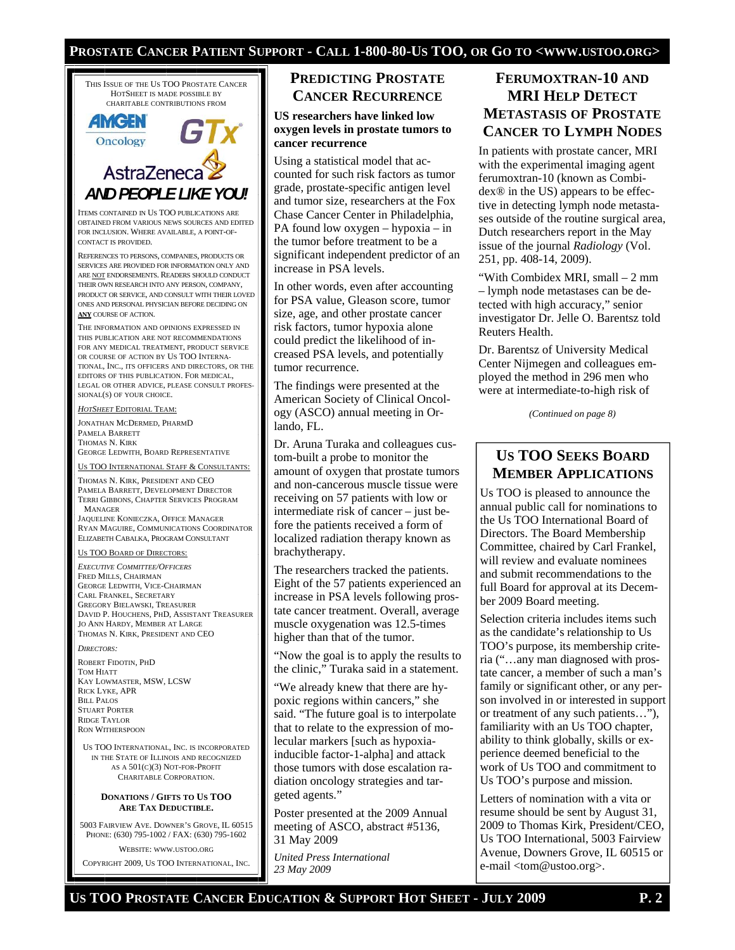#### **PROSTATE CANCER PATIENT SUPPORT - CALL 1-800-80-US TOO, OR GO TO <WWW.USTOO.ORG>**

THIS ISSUE OF THE US TOO PROSTATE CANCER HOTSHEET IS MADE POSSIBLE BY CHARITABLE CONTRIBUTIONS FROM

# **AMGEN** GTx Oncology AstraZeneca *AND PEOPLE LIKE YOU!*

ITEMS CONTAINED IN US TOO PUBLICATIONS ARE OBTAINED FROM VARIOUS NEWS SOURCES AND EDITED FOR INCLUSION. WHERE AVAILABLE, A POINT-OF-CONTACT IS PROVIDED.

REFERENCES TO PERSONS, COMPANIES, PRODUCTS OR SERVICES ARE PROVIDED FOR INFORMATION ONLY AND ARE NOT ENDORSEMENTS. READERS SHOULD CONDUCT THEIR OWN RESEARCH INTO ANY PERSON, COMPANY, PRODUCT OR SERVICE, AND CONSULT WITH THEIR LOVED ONES AND PERSONAL PHYSICIAN BEFORE DECIDING ON **ANY** COURSE OF ACTION.

THE INFORMATION AND OPINIONS EXPRESSED IN THIS PUBLICATION ARE NOT RECOMMENDATIONS FOR ANY MEDICAL TREATMENT, PRODUCT SERVICE OR COURSE OF ACTION BY US TOO INTERNA-TIONAL, INC., ITS OFFICERS AND DIRECTORS, OR THE EDITORS OF THIS PUBLICATION. FOR MEDICAL, LEGAL OR OTHER ADVICE, PLEASE CONSULT PROFES-SIONAL(S) OF YOUR CHOICE.

#### *HOTSHEET* EDITORIAL TEAM:

JONATHAN MCDERMED, PHARMD PAMELA BARRETT THOMAS N. KIRK GEORGE LEDWITH, BOARD REPRESENTATIVE

US TOO INTERNATIONAL STAFF & CONSULTANTS:

THOMAS N. KIRK, PRESIDENT AND CEO PAMELA BARRETT, DEVELOPMENT DIRECTOR TERRI GIBBONS, CHAPTER SERVICES PROGRAM MANAGER

JAQUELINE KONIECZKA, OFFICE MANAGER RYAN MAGUIRE, COMMUNICATIONS COORDINATOR ELIZABETH CABALKA, PROGRAM CONSULTANT

#### US TOO BOARD OF DIRECTORS:

*EXECUTIVE COMMITTEE/OFFICERS* FRED MILLS, CHAIRMAN GEORGE LEDWITH, VICE-CHAIRMAN CARL FRANKEL, SECRETARY GREGORY BIELAWSKI, TREASURER DAVID P. HOUCHENS, PHD, ASSISTANT TREASURER JO ANN HARDY, MEMBER AT LARGE THOMAS N. KIRK, PRESIDENT AND CEO

*DIRECTORS:* 

ROBERT FIDOTIN, PHD TOM HIATT KAY LOWMASTER, MSW, LCSW RICK LYKE, APR BILL PALOS STUART PORTER RIDGE TAYLOR RON WITHERSPOON

US TOO INTERNATIONAL, INC. IS INCORPORATED IN THE STATE OF ILLINOIS AND RECOGNIZED AS A 501(C)(3) NOT-FOR-PROFIT CHARITABLE CORPORATION.

#### **DONATIONS / GIFTS TO US TOO ARE TAX DEDUCTIBLE.**

5003 FAIRVIEW AVE. DOWNER'S GROVE, IL 60515 PHONE: (630) 795-1002 / FAX: (630) 795-1602

WEBSITE: WWW.USTOO.ORG

COPYRIGHT 2009, US TOO INTERNATIONAL, INC.

# **PREDICTING PROSTATE CANCER RECURRENCE**

#### **US researchers have linked low oxygen levels in prostate tumors to cancer recurrence**

Using a statistical model that accounted for such risk factors as tumor grade, prostate-specific antigen level and tumor size, researchers at the Fox Chase Cancer Center in Philadelphia, PA found low oxygen – hypoxia – in the tumor before treatment to be a significant independent predictor of an increase in PSA levels.

In other words, even after accounting for PSA value, Gleason score, tumor size, age, and other prostate cancer risk factors, tumor hypoxia alone could predict the likelihood of increased PSA levels, and potentially tumor recurrence.

The findings were presented at the American Society of Clinical Oncology (ASCO) annual meeting in Orlando, FL.

Dr. Aruna Turaka and colleagues custom-built a probe to monitor the amount of oxygen that prostate tumors and non-cancerous muscle tissue were receiving on 57 patients with low or intermediate risk of cancer – just before the patients received a form of localized radiation therapy known as brachytherapy.

The researchers tracked the patients. Eight of the 57 patients experienced an increase in PSA levels following prostate cancer treatment. Overall, average muscle oxygenation was 12.5-times higher than that of the tumor.

"Now the goal is to apply the results to the clinic," Turaka said in a statement.

"We already knew that there are hypoxic regions within cancers," she said. "The future goal is to interpolate that to relate to the expression of molecular markers [such as hypoxiainducible factor-1-alpha] and attack those tumors with dose escalation radiation oncology strategies and targeted agents."

Poster presented at the 2009 Annual meeting of ASCO, abstract #5136, 31 May 2009

*United Press International 23 May 2009* 

# **FERUMOXTRAN-10 AND MRI HELP DETECT METASTASIS OF PROSTATE CANCER TO LYMPH NODES**

In patients with prostate cancer, MRI with the experimental imaging agent ferumoxtran-10 (known as Combidex® in the US) appears to be effective in detecting lymph node metastases outside of the routine surgical area, Dutch researchers report in the May issue of the journal *Radiology* (Vol. 251, pp. 408-14, 2009).

"With Combidex MRI, small – 2 mm – lymph node metastases can be detected with high accuracy," senior investigator Dr. Jelle O. Barentsz told Reuters Health.

Dr. Barentsz of University Medical Center Nijmegen and colleagues employed the method in 296 men who were at intermediate-to-high risk of

*(Continued on page 8)* 

# **US TOO SEEKS BOARD MEMBER APPLICATIONS**

Us TOO is pleased to announce the annual public call for nominations to the Us TOO International Board of Directors. The Board Membership Committee, chaired by Carl Frankel, will review and evaluate nominees and submit recommendations to the full Board for approval at its December 2009 Board meeting.

Selection criteria includes items such as the candidate's relationship to Us TOO's purpose, its membership criteria ("…any man diagnosed with prostate cancer, a member of such a man's family or significant other, or any person involved in or interested in support or treatment of any such patients…"), familiarity with an Us TOO chapter, ability to think globally, skills or experience deemed beneficial to the work of Us TOO and commitment to Us TOO's purpose and mission.

Letters of nomination with a vita or resume should be sent by August 31, 2009 to Thomas Kirk, President/CEO, Us TOO International, 5003 Fairview Avenue, Downers Grove, IL 60515 or e-mail <tom@ustoo.org>.

## **US TOO PROSTATE CANCER EDUCATION & SUPPORT HOT SHEET - JULY 2009 P. 2**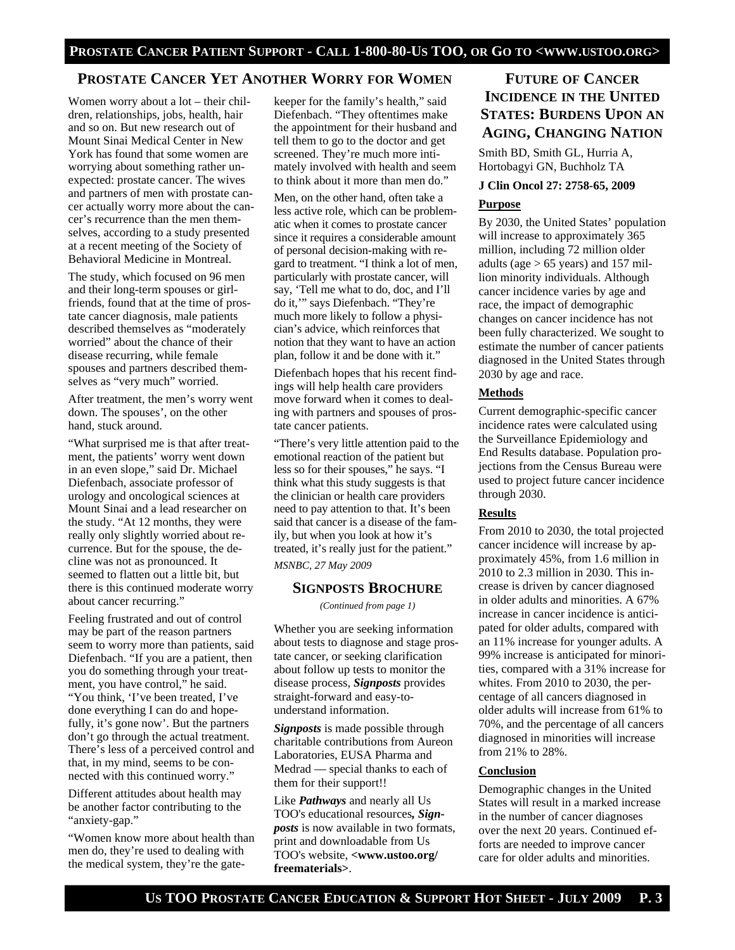## **PROSTATE CANCER YET ANOTHER WORRY FOR WOMEN**

Women worry about a lot – their children, relationships, jobs, health, hair and so on. But new research out of Mount Sinai Medical Center in New York has found that some women are worrying about something rather unexpected: prostate cancer. The wives and partners of men with prostate cancer actually worry more about the cancer's recurrence than the men themselves, according to a study presented at a recent meeting of the Society of Behavioral Medicine in Montreal.

The study, which focused on 96 men and their long-term spouses or girlfriends, found that at the time of prostate cancer diagnosis, male patients described themselves as "moderately worried" about the chance of their disease recurring, while female spouses and partners described themselves as "very much" worried.

After treatment, the men's worry went down. The spouses', on the other hand, stuck around.

"What surprised me is that after treatment, the patients' worry went down in an even slope," said Dr. Michael Diefenbach, associate professor of urology and oncological sciences at Mount Sinai and a lead researcher on the study. "At 12 months, they were really only slightly worried about recurrence. But for the spouse, the decline was not as pronounced. It seemed to flatten out a little bit, but there is this continued moderate worry about cancer recurring."

Feeling frustrated and out of control may be part of the reason partners seem to worry more than patients, said Diefenbach. "If you are a patient, then you do something through your treatment, you have control," he said. "You think, 'I've been treated, I've done everything I can do and hopefully, it's gone now'. But the partners don't go through the actual treatment. There's less of a perceived control and that, in my mind, seems to be connected with this continued worry."

Different attitudes about health may be another factor contributing to the "anxiety-gap."

"Women know more about health than men do, they're used to dealing with the medical system, they're the gatekeeper for the family's health," said Diefenbach. "They oftentimes make the appointment for their husband and tell them to go to the doctor and get screened. They're much more intimately involved with health and seem to think about it more than men do."

Men, on the other hand, often take a less active role, which can be problematic when it comes to prostate cancer since it requires a considerable amount of personal decision-making with regard to treatment. "I think a lot of men, particularly with prostate cancer, will say, 'Tell me what to do, doc, and I'll do it,'" says Diefenbach. "They're much more likely to follow a physician's advice, which reinforces that notion that they want to have an action plan, follow it and be done with it."

Diefenbach hopes that his recent findings will help health care providers move forward when it comes to dealing with partners and spouses of prostate cancer patients.

"There's very little attention paid to the emotional reaction of the patient but less so for their spouses," he says. "I think what this study suggests is that the clinician or health care providers need to pay attention to that. It's been said that cancer is a disease of the family, but when you look at how it's treated, it's really just for the patient." *MSNBC, 27 May 2009* 

#### **SIGNPOSTS BROCHURE**

*(Continued from page 1)* 

Whether you are seeking information about tests to diagnose and stage prostate cancer, or seeking clarification about follow up tests to monitor the disease process, *Signposts* provides straight-forward and easy-tounderstand information.

*Signposts* is made possible through charitable contributions from Aureon Laboratories, EUSA Pharma and Medrad — special thanks to each of them for their support!!

Like *Pathways* and nearly all Us TOO's educational resources*, Signposts* is now available in two formats, print and downloadable from Us TOO's website, **<www.ustoo.org/ freematerials>**.

# **FUTURE OF CANCER INCIDENCE IN THE UNITED STATES: BURDENS UPON AN AGING, CHANGING NATION**

Smith BD, Smith GL, Hurria A, Hortobagyi GN, Buchholz TA

# **J Clin Oncol 27: 2758-65, 2009**

#### **Purpose**

By 2030, the United States' population will increase to approximately 365 million, including 72 million older adults (age  $> 65$  years) and 157 million minority individuals. Although cancer incidence varies by age and race, the impact of demographic changes on cancer incidence has not been fully characterized. We sought to estimate the number of cancer patients diagnosed in the United States through 2030 by age and race.

#### **Methods**

Current demographic-specific cancer incidence rates were calculated using the Surveillance Epidemiology and End Results database. Population projections from the Census Bureau were used to project future cancer incidence through 2030.

#### **Results**

From 2010 to 2030, the total projected cancer incidence will increase by approximately 45%, from 1.6 million in 2010 to 2.3 million in 2030. This increase is driven by cancer diagnosed in older adults and minorities. A 67% increase in cancer incidence is anticipated for older adults, compared with an 11% increase for younger adults. A 99% increase is anticipated for minorities, compared with a 31% increase for whites. From 2010 to 2030, the percentage of all cancers diagnosed in older adults will increase from 61% to 70%, and the percentage of all cancers diagnosed in minorities will increase from 21% to 28%.

#### **Conclusion**

Demographic changes in the United States will result in a marked increase in the number of cancer diagnoses over the next 20 years. Continued efforts are needed to improve cancer care for older adults and minorities.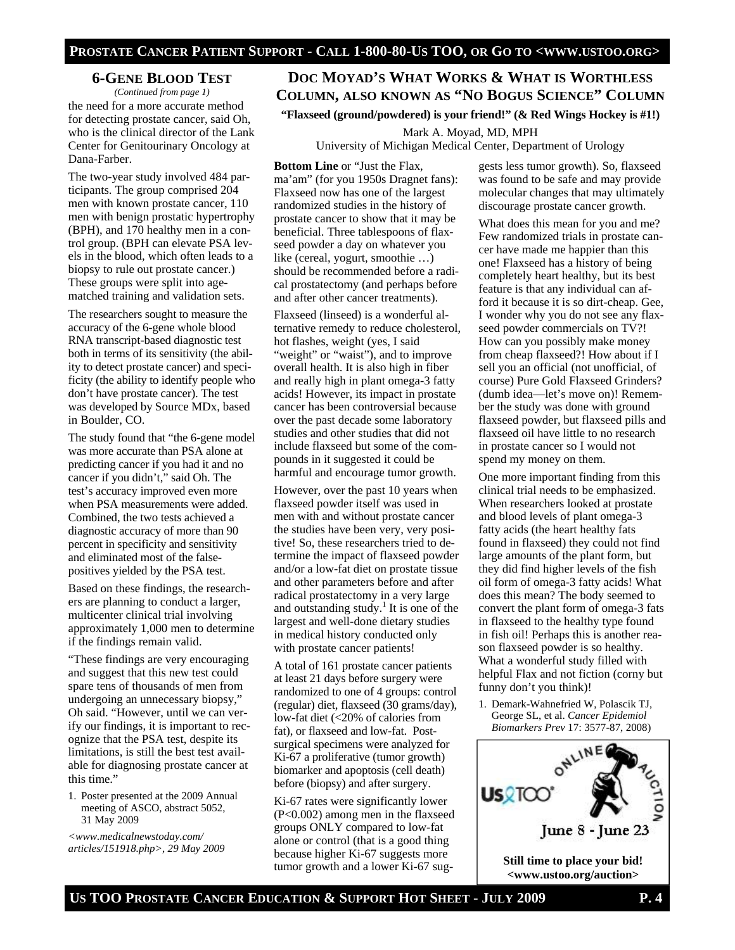#### **6-GENE BLOOD TEST**

the need for a more accurate method for detecting prostate cancer, said Oh, who is the clinical director of the Lank Center for Genitourinary Oncology at Dana-Farber. *(Continued from page 1)* 

The two-year study involved 484 participants. The group comprised 204 men with known prostate cancer, 110 men with benign prostatic hypertrophy (BPH), and 170 healthy men in a control group. (BPH can elevate PSA levels in the blood, which often leads to a biopsy to rule out prostate cancer.) These groups were split into agematched training and validation sets.

The researchers sought to measure the accuracy of the 6-gene whole blood RNA transcript-based diagnostic test both in terms of its sensitivity (the ability to detect prostate cancer) and specificity (the ability to identify people who don't have prostate cancer). The test was developed by Source MDx, based in Boulder, CO.

The study found that "the 6-gene model was more accurate than PSA alone at predicting cancer if you had it and no cancer if you didn't," said Oh. The test's accuracy improved even more when PSA measurements were added. Combined, the two tests achieved a diagnostic accuracy of more than 90 percent in specificity and sensitivity and eliminated most of the falsepositives yielded by the PSA test.

Based on these findings, the researchers are planning to conduct a larger, multicenter clinical trial involving approximately 1,000 men to determine if the findings remain valid.

"These findings are very encouraging and suggest that this new test could spare tens of thousands of men from undergoing an unnecessary biopsy," Oh said. "However, until we can verify our findings, it is important to recognize that the PSA test, despite its limitations, is still the best test available for diagnosing prostate cancer at this time."

1. Poster presented at the 2009 Annual meeting of ASCO, abstract 5052, 31 May 2009

*<www.medicalnewstoday.com/ articles/151918.php>, 29 May 2009* 

# **DOC MOYAD'S WHAT WORKS & WHAT IS WORTHLESS COLUMN, ALSO KNOWN AS "NO BOGUS SCIENCE" COLUMN**

**"Flaxseed (ground/powdered) is your friend!" (& Red Wings Hockey is #1!)**

Mark A. Moyad, MD, MPH

University of Michigan Medical Center, Department of Urology

**Bottom Line** or "Just the Flax, ma'am" (for you 1950s Dragnet fans): Flaxseed now has one of the largest randomized studies in the history of prostate cancer to show that it may be beneficial. Three tablespoons of flaxseed powder a day on whatever you like (cereal, yogurt, smoothie …) should be recommended before a radical prostatectomy (and perhaps before and after other cancer treatments).

Flaxseed (linseed) is a wonderful alternative remedy to reduce cholesterol, hot flashes, weight (yes, I said "weight" or "waist"), and to improve overall health. It is also high in fiber and really high in plant omega-3 fatty acids! However, its impact in prostate cancer has been controversial because over the past decade some laboratory studies and other studies that did not include flaxseed but some of the compounds in it suggested it could be harmful and encourage tumor growth.

However, over the past 10 years when flaxseed powder itself was used in men with and without prostate cancer the studies have been very, very positive! So, these researchers tried to determine the impact of flaxseed powder and/or a low-fat diet on prostate tissue and other parameters before and after radical prostatectomy in a very large and outstanding study.<sup>1</sup> It is one of the largest and well-done dietary studies in medical history conducted only with prostate cancer patients!

A total of 161 prostate cancer patients at least 21 days before surgery were randomized to one of 4 groups: control (regular) diet, flaxseed (30 grams/day), low-fat diet (<20% of calories from fat), or flaxseed and low-fat. Postsurgical specimens were analyzed for Ki-67 a proliferative (tumor growth) biomarker and apoptosis (cell death) before (biopsy) and after surgery.

Ki-67 rates were significantly lower (P<0.002) among men in the flaxseed groups ONLY compared to low-fat alone or control (that is a good thing because higher Ki-67 suggests more tumor growth and a lower Ki-67 sug-

gests less tumor growth). So, flaxseed was found to be safe and may provide molecular changes that may ultimately discourage prostate cancer growth.

What does this mean for you and me? Few randomized trials in prostate cancer have made me happier than this one! Flaxseed has a history of being completely heart healthy, but its best feature is that any individual can afford it because it is so dirt-cheap. Gee, I wonder why you do not see any flaxseed powder commercials on TV?! How can you possibly make money from cheap flaxseed?! How about if I sell you an official (not unofficial, of course) Pure Gold Flaxseed Grinders? (dumb idea—let's move on)! Remember the study was done with ground flaxseed powder, but flaxseed pills and flaxseed oil have little to no research in prostate cancer so I would not spend my money on them.

One more important finding from this clinical trial needs to be emphasized. When researchers looked at prostate and blood levels of plant omega-3 fatty acids (the heart healthy fats found in flaxseed) they could not find large amounts of the plant form, but they did find higher levels of the fish oil form of omega-3 fatty acids! What does this mean? The body seemed to convert the plant form of omega-3 fats in flaxseed to the healthy type found in fish oil! Perhaps this is another reason flaxseed powder is so healthy. What a wonderful study filled with helpful Flax and not fiction (corny but funny don't you think)!

1. Demark-Wahnefried W, Polascik TJ, George SL, et al. *Cancer Epidemiol Biomarkers Prev* 17: 3577-87, 2008)

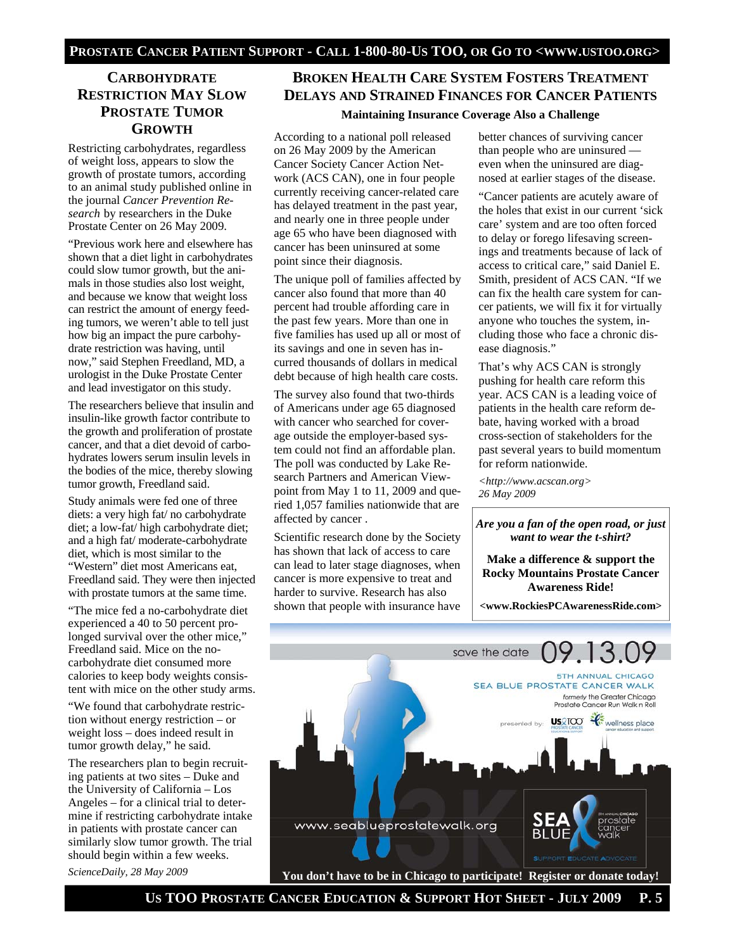# **CARBOHYDRATE RESTRICTION MAY SLOW PROSTATE TUMOR GROWTH**

Restricting carbohydrates, regardless of weight loss, appears to slow the growth of prostate tumors, according to an animal study published online in the journal *Cancer Prevention Research* by researchers in the Duke Prostate Center on 26 May 2009.

"Previous work here and elsewhere has shown that a diet light in carbohydrates could slow tumor growth, but the animals in those studies also lost weight, and because we know that weight loss can restrict the amount of energy feeding tumors, we weren't able to tell just how big an impact the pure carbohydrate restriction was having, until now," said Stephen Freedland, MD, a urologist in the Duke Prostate Center and lead investigator on this study.

The researchers believe that insulin and insulin-like growth factor contribute to the growth and proliferation of prostate cancer, and that a diet devoid of carbohydrates lowers serum insulin levels in the bodies of the mice, thereby slowing tumor growth, Freedland said.

Study animals were fed one of three diets: a very high fat/ no carbohydrate diet; a low-fat/ high carbohydrate diet; and a high fat/ moderate-carbohydrate diet, which is most similar to the "Western" diet most Americans eat, Freedland said. They were then injected with prostate tumors at the same time.

"The mice fed a no-carbohydrate diet experienced a 40 to 50 percent prolonged survival over the other mice," Freedland said. Mice on the nocarbohydrate diet consumed more calories to keep body weights consistent with mice on the other study arms.

"We found that carbohydrate restriction without energy restriction – or weight loss – does indeed result in tumor growth delay," he said.

The researchers plan to begin recruiting patients at two sites – Duke and the University of California – Los Angeles – for a clinical trial to determine if restricting carbohydrate intake in patients with prostate cancer can similarly slow tumor growth. The trial should begin within a few weeks.

*ScienceDaily, 28 May 2009* 

# **BROKEN HEALTH CARE SYSTEM FOSTERS TREATMENT DELAYS AND STRAINED FINANCES FOR CANCER PATIENTS**

#### **Maintaining Insurance Coverage Also a Challenge**

According to a national poll released on 26 May 2009 by the American Cancer Society Cancer Action Network (ACS CAN), one in four people currently receiving cancer-related care has delayed treatment in the past year, and nearly one in three people under age 65 who have been diagnosed with cancer has been uninsured at some point since their diagnosis.

The unique poll of families affected by cancer also found that more than 40 percent had trouble affording care in the past few years. More than one in five families has used up all or most of its savings and one in seven has incurred thousands of dollars in medical debt because of high health care costs.

The survey also found that two-thirds of Americans under age 65 diagnosed with cancer who searched for coverage outside the employer-based system could not find an affordable plan. The poll was conducted by Lake Research Partners and American Viewpoint from May 1 to 11, 2009 and queried 1,057 families nationwide that are affected by cancer .

Scientific research done by the Society has shown that lack of access to care can lead to later stage diagnoses, when cancer is more expensive to treat and harder to survive. Research has also shown that people with insurance have

better chances of surviving cancer than people who are uninsured even when the uninsured are diagnosed at earlier stages of the disease.

"Cancer patients are acutely aware of the holes that exist in our current 'sick care' system and are too often forced to delay or forego lifesaving screenings and treatments because of lack of access to critical care," said Daniel E. Smith, president of ACS CAN. "If we can fix the health care system for cancer patients, we will fix it for virtually anyone who touches the system, including those who face a chronic disease diagnosis."

That's why ACS CAN is strongly pushing for health care reform this year. ACS CAN is a leading voice of patients in the health care reform debate, having worked with a broad cross-section of stakeholders for the past several years to build momentum for reform nationwide.

*<http://www.acscan.org> 26 May 2009* 

*Are you a fan of the open road, or just want to wear the t-shirt?* 

**Make a difference & support the Rocky Mountains Prostate Cancer Awareness Ride!** 

**<www.RockiesPCAwarenessRide.com>** 



US TOO PROSTATE CANCER EDUCATION & SUPPORT HOT SHEET - JULY 2009 P. 5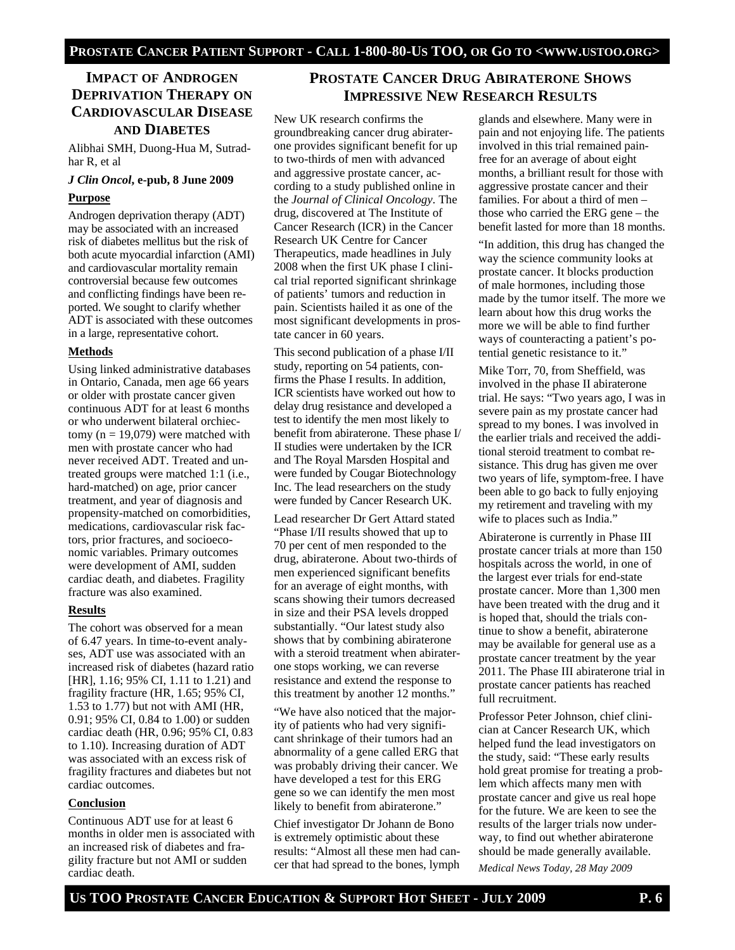# **IMPACT OF ANDROGEN DEPRIVATION THERAPY ON CARDIOVASCULAR DISEASE AND DIABETES**

Alibhai SMH, Duong-Hua M, Sutradhar R, et al

# *J Clin Oncol***, e-pub, 8 June 2009**

#### **Purpose**

Androgen deprivation therapy (ADT) may be associated with an increased risk of diabetes mellitus but the risk of both acute myocardial infarction (AMI) and cardiovascular mortality remain controversial because few outcomes and conflicting findings have been reported. We sought to clarify whether ADT is associated with these outcomes in a large, representative cohort.

#### **Methods**

Using linked administrative databases in Ontario, Canada, men age 66 years or older with prostate cancer given continuous ADT for at least 6 months or who underwent bilateral orchiectomy ( $n = 19,079$ ) were matched with men with prostate cancer who had never received ADT. Treated and untreated groups were matched 1:1 (i.e., hard-matched) on age, prior cancer treatment, and year of diagnosis and propensity-matched on comorbidities, medications, cardiovascular risk factors, prior fractures, and socioeconomic variables. Primary outcomes were development of AMI, sudden cardiac death, and diabetes. Fragility fracture was also examined.

#### **Results**

The cohort was observed for a mean of 6.47 years. In time-to-event analyses, ADT use was associated with an increased risk of diabetes (hazard ratio [HR], 1.16; 95% CI, 1.11 to 1.21) and fragility fracture (HR, 1.65; 95% CI, 1.53 to 1.77) but not with AMI (HR, 0.91; 95% CI, 0.84 to 1.00) or sudden cardiac death (HR, 0.96; 95% CI, 0.83 to 1.10). Increasing duration of ADT was associated with an excess risk of fragility fractures and diabetes but not cardiac outcomes.

#### **Conclusion**

Continuous ADT use for at least 6 months in older men is associated with an increased risk of diabetes and fragility fracture but not AMI or sudden cardiac death.

# **PROSTATE CANCER DRUG ABIRATERONE SHOWS IMPRESSIVE NEW RESEARCH RESULTS**

New UK research confirms the groundbreaking cancer drug abiraterone provides significant benefit for up to two-thirds of men with advanced and aggressive prostate cancer, according to a study published online in the *Journal of Clinical Oncology*. The drug, discovered at The Institute of Cancer Research (ICR) in the Cancer Research UK Centre for Cancer Therapeutics, made headlines in July 2008 when the first UK phase I clinical trial reported significant shrinkage of patients' tumors and reduction in pain. Scientists hailed it as one of the most significant developments in prostate cancer in 60 years.

This second publication of a phase I/II study, reporting on 54 patients, confirms the Phase I results. In addition, ICR scientists have worked out how to delay drug resistance and developed a test to identify the men most likely to benefit from abiraterone. These phase I/ II studies were undertaken by the ICR and The Royal Marsden Hospital and were funded by Cougar Biotechnology Inc. The lead researchers on the study were funded by Cancer Research UK.

Lead researcher Dr Gert Attard stated "Phase I/II results showed that up to 70 per cent of men responded to the drug, abiraterone. About two-thirds of men experienced significant benefits for an average of eight months, with scans showing their tumors decreased in size and their PSA levels dropped substantially. "Our latest study also shows that by combining abiraterone with a steroid treatment when abiraterone stops working, we can reverse resistance and extend the response to this treatment by another 12 months."

"We have also noticed that the majority of patients who had very significant shrinkage of their tumors had an abnormality of a gene called ERG that was probably driving their cancer. We have developed a test for this ERG gene so we can identify the men most likely to benefit from abiraterone."

Chief investigator Dr Johann de Bono is extremely optimistic about these results: "Almost all these men had cancer that had spread to the bones, lymph

glands and elsewhere. Many were in pain and not enjoying life. The patients involved in this trial remained painfree for an average of about eight months, a brilliant result for those with aggressive prostate cancer and their families. For about a third of men – those who carried the ERG gene – the benefit lasted for more than 18 months.

"In addition, this drug has changed the way the science community looks at prostate cancer. It blocks production of male hormones, including those made by the tumor itself. The more we learn about how this drug works the more we will be able to find further ways of counteracting a patient's potential genetic resistance to it."

Mike Torr, 70, from Sheffield, was involved in the phase II abiraterone trial. He says: "Two years ago, I was in severe pain as my prostate cancer had spread to my bones. I was involved in the earlier trials and received the additional steroid treatment to combat resistance. This drug has given me over two years of life, symptom-free. I have been able to go back to fully enjoying my retirement and traveling with my wife to places such as India."

Abiraterone is currently in Phase III prostate cancer trials at more than 150 hospitals across the world, in one of the largest ever trials for end-state prostate cancer. More than 1,300 men have been treated with the drug and it is hoped that, should the trials continue to show a benefit, abiraterone may be available for general use as a prostate cancer treatment by the year 2011. The Phase III abiraterone trial in prostate cancer patients has reached full recruitment.

Professor Peter Johnson, chief clinician at Cancer Research UK, which helped fund the lead investigators on the study, said: "These early results hold great promise for treating a problem which affects many men with prostate cancer and give us real hope for the future. We are keen to see the results of the larger trials now underway, to find out whether abiraterone should be made generally available. *Medical News Today, 28 May 2009*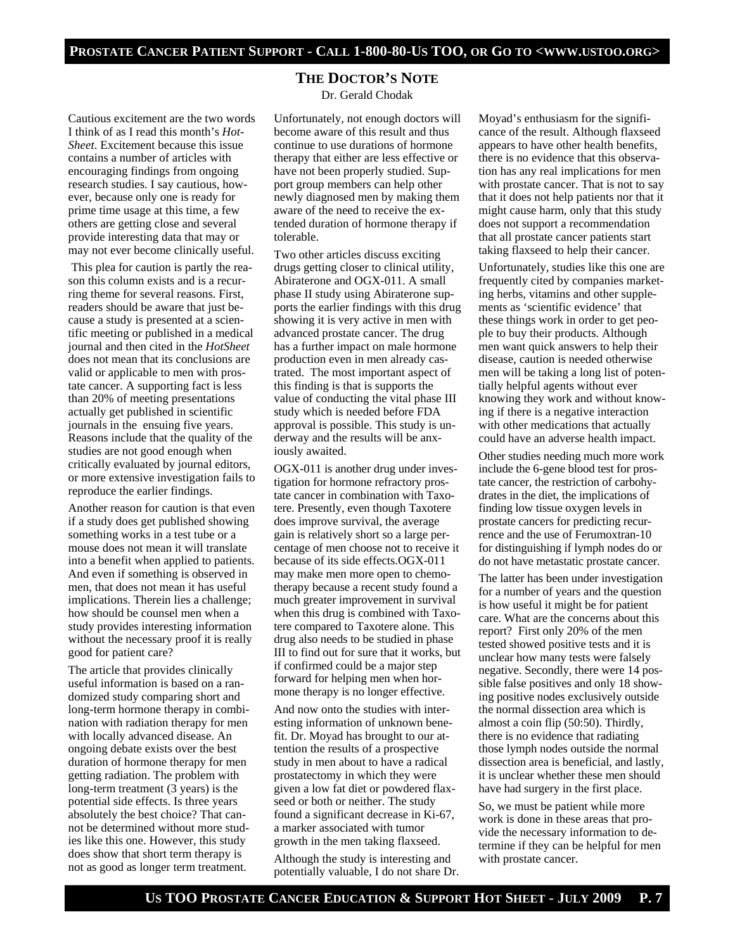Cautious excitement are the two words I think of as I read this month's *Hot-Sheet*. Excitement because this issue contains a number of articles with encouraging findings from ongoing research studies. I say cautious, however, because only one is ready for prime time usage at this time, a few others are getting close and several provide interesting data that may or may not ever become clinically useful.

 This plea for caution is partly the reason this column exists and is a recurring theme for several reasons. First, readers should be aware that just because a study is presented at a scientific meeting or published in a medical journal and then cited in the *HotSheet* does not mean that its conclusions are valid or applicable to men with prostate cancer. A supporting fact is less than 20% of meeting presentations actually get published in scientific journals in the ensuing five years. Reasons include that the quality of the studies are not good enough when critically evaluated by journal editors, or more extensive investigation fails to reproduce the earlier findings.

Another reason for caution is that even if a study does get published showing something works in a test tube or a mouse does not mean it will translate into a benefit when applied to patients. And even if something is observed in men, that does not mean it has useful implications. Therein lies a challenge; how should be counsel men when a study provides interesting information without the necessary proof it is really good for patient care?

The article that provides clinically useful information is based on a randomized study comparing short and long-term hormone therapy in combination with radiation therapy for men with locally advanced disease. An ongoing debate exists over the best duration of hormone therapy for men getting radiation. The problem with long-term treatment (3 years) is the potential side effects. Is three years absolutely the best choice? That cannot be determined without more studies like this one. However, this study does show that short term therapy is not as good as longer term treatment.

# **THE DOCTOR'S NOTE**

Dr. Gerald Chodak

Unfortunately, not enough doctors will become aware of this result and thus continue to use durations of hormone therapy that either are less effective or have not been properly studied. Support group members can help other newly diagnosed men by making them aware of the need to receive the extended duration of hormone therapy if tolerable.

Two other articles discuss exciting drugs getting closer to clinical utility, Abiraterone and OGX-011. A small phase II study using Abiraterone supports the earlier findings with this drug showing it is very active in men with advanced prostate cancer. The drug has a further impact on male hormone production even in men already castrated. The most important aspect of this finding is that is supports the value of conducting the vital phase III study which is needed before FDA approval is possible. This study is underway and the results will be anxiously awaited.

OGX-011 is another drug under investigation for hormone refractory prostate cancer in combination with Taxotere. Presently, even though Taxotere does improve survival, the average gain is relatively short so a large percentage of men choose not to receive it because of its side effects.OGX-011 may make men more open to chemotherapy because a recent study found a much greater improvement in survival when this drug is combined with Taxotere compared to Taxotere alone. This drug also needs to be studied in phase III to find out for sure that it works, but if confirmed could be a major step forward for helping men when hormone therapy is no longer effective.

And now onto the studies with interesting information of unknown benefit. Dr. Moyad has brought to our attention the results of a prospective study in men about to have a radical prostatectomy in which they were given a low fat diet or powdered flaxseed or both or neither. The study found a significant decrease in Ki-67, a marker associated with tumor growth in the men taking flaxseed.

Although the study is interesting and potentially valuable, I do not share Dr.

Moyad's enthusiasm for the significance of the result. Although flaxseed appears to have other health benefits, there is no evidence that this observation has any real implications for men with prostate cancer. That is not to say that it does not help patients nor that it might cause harm, only that this study does not support a recommendation that all prostate cancer patients start taking flaxseed to help their cancer.

Unfortunately, studies like this one are frequently cited by companies marketing herbs, vitamins and other supplements as 'scientific evidence' that these things work in order to get people to buy their products. Although men want quick answers to help their disease, caution is needed otherwise men will be taking a long list of potentially helpful agents without ever knowing they work and without knowing if there is a negative interaction with other medications that actually could have an adverse health impact.

Other studies needing much more work include the 6-gene blood test for prostate cancer, the restriction of carbohydrates in the diet, the implications of finding low tissue oxygen levels in prostate cancers for predicting recurrence and the use of Ferumoxtran-10 for distinguishing if lymph nodes do or do not have metastatic prostate cancer.

The latter has been under investigation for a number of years and the question is how useful it might be for patient care. What are the concerns about this report? First only 20% of the men tested showed positive tests and it is unclear how many tests were falsely negative. Secondly, there were 14 possible false positives and only 18 showing positive nodes exclusively outside the normal dissection area which is almost a coin flip (50:50). Thirdly, there is no evidence that radiating those lymph nodes outside the normal dissection area is beneficial, and lastly, it is unclear whether these men should have had surgery in the first place.

So, we must be patient while more work is done in these areas that provide the necessary information to determine if they can be helpful for men with prostate cancer.